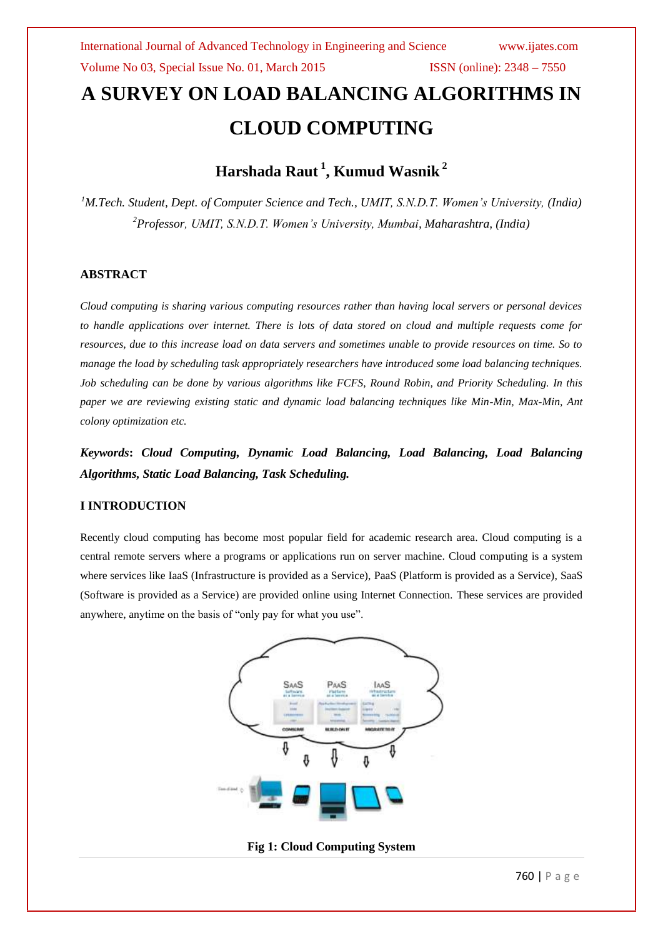# **A SURVEY ON LOAD BALANCING ALGORITHMS IN CLOUD COMPUTING**

# **Harshada Raut <sup>1</sup> , Kumud Wasnik <sup>2</sup>**

*<sup>1</sup>M.Tech. Student, Dept. of Computer Science and Tech., UMIT, S.N.D.T. Women's University, (India) <sup>2</sup>Professor, UMIT, S.N.D.T. Women's University, Mumbai, Maharashtra, (India)*

#### **ABSTRACT**

*Cloud computing is sharing various computing resources rather than having local servers or personal devices to handle applications over internet. There is lots of data stored on cloud and multiple requests come for resources, due to this increase load on data servers and sometimes unable to provide resources on time. So to manage the load by scheduling task appropriately researchers have introduced some load balancing techniques. Job scheduling can be done by various algorithms like FCFS, Round Robin, and Priority Scheduling. In this paper we are reviewing existing static and dynamic load balancing techniques like Min-Min, Max-Min, Ant colony optimization etc.*

*Keywords***:** *Cloud Computing, Dynamic Load Balancing, Load Balancing, Load Balancing Algorithms, Static Load Balancing, Task Scheduling.*

#### **I INTRODUCTION**

Recently cloud computing has become most popular field for academic research area. Cloud computing is a central remote servers where a programs or applications run on server machine. Cloud computing is a system where services like IaaS (Infrastructure is provided as a Service), PaaS (Platform is provided as a Service), SaaS (Software is provided as a Service) are provided online using Internet Connection. These services are provided anywhere, anytime on the basis of "only pay for what you use".



**Fig 1: Cloud Computing System**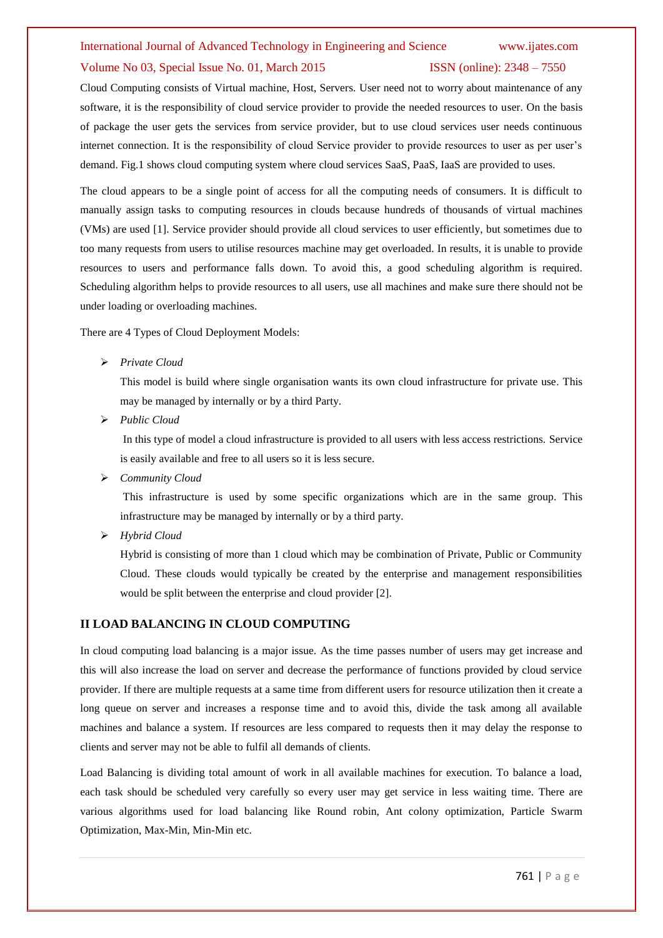# International Journal of Advanced Technology in Engineering and Science www.ijates.com Volume No 03, Special Issue No. 01, March 2015 ISSN (online): 2348 – 7550

Cloud Computing consists of Virtual machine, Host, Servers. User need not to worry about maintenance of any software, it is the responsibility of cloud service provider to provide the needed resources to user. On the basis of package the user gets the services from service provider, but to use cloud services user needs continuous internet connection. It is the responsibility of cloud Service provider to provide resources to user as per user's demand. Fig.1 shows cloud computing system where cloud services SaaS, PaaS, IaaS are provided to uses.

The cloud appears to be a single point of access for all the computing needs of consumers. It is difficult to manually assign tasks to computing resources in clouds because hundreds of thousands of virtual machines (VMs) are used [1]. Service provider should provide all cloud services to user efficiently, but sometimes due to too many requests from users to utilise resources machine may get overloaded. In results, it is unable to provide resources to users and performance falls down. To avoid this, a good scheduling algorithm is required. Scheduling algorithm helps to provide resources to all users, use all machines and make sure there should not be under loading or overloading machines.

There are 4 Types of Cloud Deployment Models:

*Private Cloud*

This model is build where single organisation wants its own cloud infrastructure for private use. This may be managed by internally or by a third Party.

*Public Cloud*

In this type of model a cloud infrastructure is provided to all users with less access restrictions. Service is easily available and free to all users so it is less secure.

*Community Cloud*

This infrastructure is used by some specific organizations which are in the same group. This infrastructure may be managed by internally or by a third party.

*Hybrid Cloud*

Hybrid is consisting of more than 1 cloud which may be combination of Private, Public or Community Cloud. These clouds would typically be created by the enterprise and management responsibilities would be split between the enterprise and cloud provider [2].

#### **II LOAD BALANCING IN CLOUD COMPUTING**

In cloud computing load balancing is a major issue. As the time passes number of users may get increase and this will also increase the load on server and decrease the performance of functions provided by cloud service provider. If there are multiple requests at a same time from different users for resource utilization then it create a long queue on server and increases a response time and to avoid this, divide the task among all available machines and balance a system. If resources are less compared to requests then it may delay the response to clients and server may not be able to fulfil all demands of clients.

Load Balancing is dividing total amount of work in all available machines for execution. To balance a load, each task should be scheduled very carefully so every user may get service in less waiting time. There are various algorithms used for load balancing like Round robin, Ant colony optimization, Particle Swarm Optimization, Max-Min, Min-Min etc.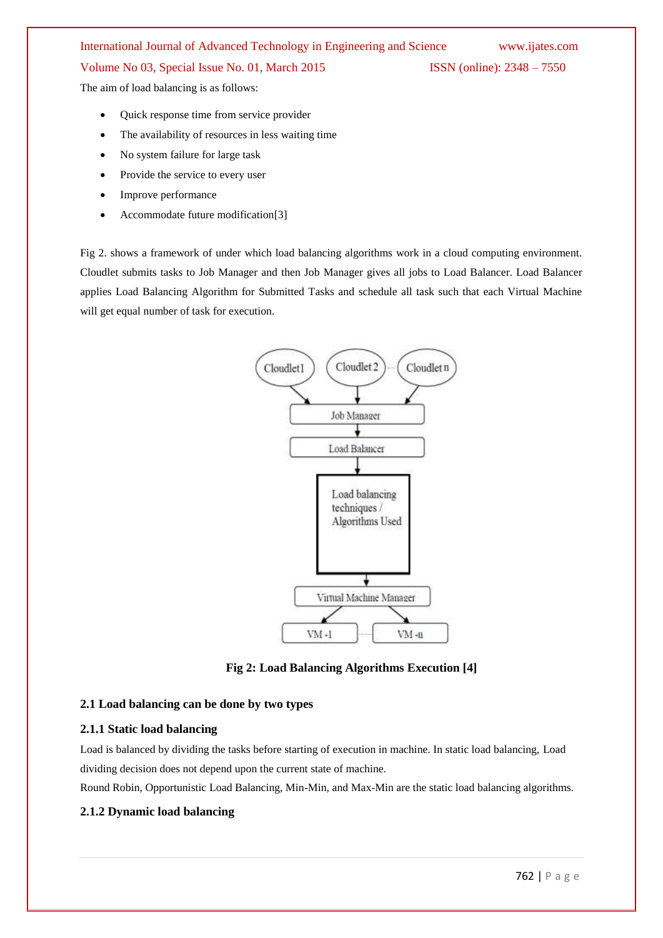# International Journal of Advanced Technology in Engineering and Science www.ijates.com

#### Volume No 03, Special Issue No. 01, March 2015 ISSN (online): 2348 – 7550

The aim of load balancing is as follows:

- Quick response time from service provider
- The availability of resources in less waiting time
- No system failure for large task
- Provide the service to every user
- Improve performance
- Accommodate future modification[3]

Fig 2. shows a framework of under which load balancing algorithms work in a cloud computing environment. Cloudlet submits tasks to Job Manager and then Job Manager gives all jobs to Load Balancer. Load Balancer applies Load Balancing Algorithm for Submitted Tasks and schedule all task such that each Virtual Machine will get equal number of task for execution.





#### **2.1 Load balancing can be done by two types**

#### **2.1.1 Static load balancing**

Load is balanced by dividing the tasks before starting of execution in machine. In static load balancing, Load dividing decision does not depend upon the current state of machine.

Round Robin, Opportunistic Load Balancing, Min-Min, and Max-Min are the static load balancing algorithms.

#### **2.1.2 Dynamic load balancing**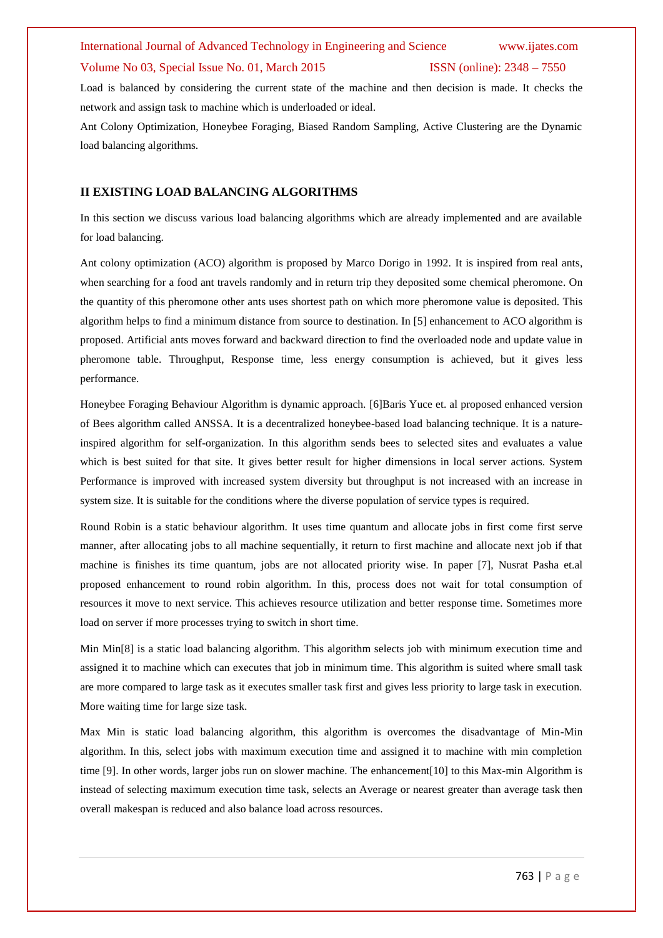# International Journal of Advanced Technology in Engineering and Science www.ijates.com Volume No 03, Special Issue No. 01, March 2015 ISSN (online): 2348 – 7550

Load is balanced by considering the current state of the machine and then decision is made. It checks the network and assign task to machine which is underloaded or ideal.

Ant Colony Optimization, Honeybee Foraging, Biased Random Sampling, Active Clustering are the Dynamic load balancing algorithms.

#### **II EXISTING LOAD BALANCING ALGORITHMS**

In this section we discuss various load balancing algorithms which are already implemented and are available for load balancing.

Ant colony optimization (ACO) algorithm is proposed by Marco Dorigo in 1992. It is inspired from real ants, when searching for a food ant travels randomly and in return trip they deposited some chemical pheromone. On the quantity of this pheromone other ants uses shortest path on which more pheromone value is deposited. This algorithm helps to find a minimum distance from source to destination. In [5] enhancement to ACO algorithm is proposed. Artificial ants moves forward and backward direction to find the overloaded node and update value in pheromone table. Throughput, Response time, less energy consumption is achieved, but it gives less performance.

Honeybee Foraging Behaviour Algorithm is dynamic approach. [6]Baris Yuce et. al proposed enhanced version of Bees algorithm called ANSSA. It is a decentralized honeybee-based load balancing technique. It is a natureinspired algorithm for self-organization. In this algorithm sends bees to selected sites and evaluates a value which is best suited for that site. It gives better result for higher dimensions in local server actions. System Performance is improved with increased system diversity but throughput is not increased with an increase in system size. It is suitable for the conditions where the diverse population of service types is required.

Round Robin is a static behaviour algorithm. It uses time quantum and allocate jobs in first come first serve manner, after allocating jobs to all machine sequentially, it return to first machine and allocate next job if that machine is finishes its time quantum, jobs are not allocated priority wise. In paper [7], Nusrat Pasha et.al proposed enhancement to round robin algorithm. In this, process does not wait for total consumption of resources it move to next service. This achieves resource utilization and better response time. Sometimes more load on server if more processes trying to switch in short time.

Min Min[8] is a static load balancing algorithm. This algorithm selects job with minimum execution time and assigned it to machine which can executes that job in minimum time. This algorithm is suited where small task are more compared to large task as it executes smaller task first and gives less priority to large task in execution. More waiting time for large size task.

Max Min is static load balancing algorithm, this algorithm is overcomes the disadvantage of Min-Min algorithm. In this, select jobs with maximum execution time and assigned it to machine with min completion time [9]. In other words, larger jobs run on slower machine. The enhancement[10] to this Max-min Algorithm is instead of selecting maximum execution time task, selects an Average or nearest greater than average task then overall makespan is reduced and also balance load across resources.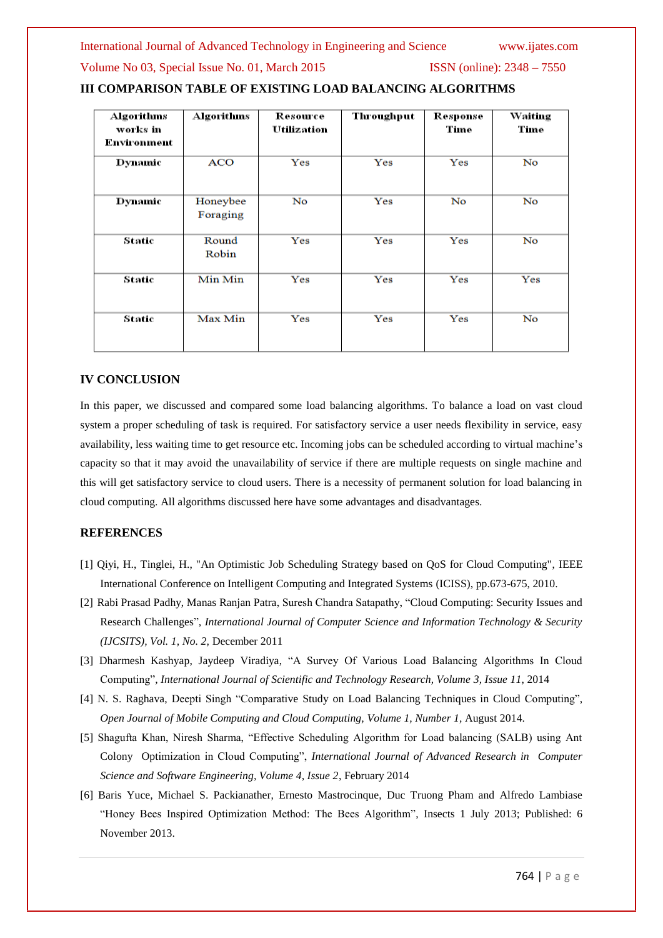International Journal of Advanced Technology in Engineering and Science www.ijates.com

#### Volume No 03, Special Issue No. 01, March 2015 ISSN (online): 2348 – 7550

| <b>Algorithms</b> | <b>Algorithms</b>    | Resource    | <b>Throughput</b> | Response     | Waiting |
|-------------------|----------------------|-------------|-------------------|--------------|---------|
| works in          |                      | Utilization |                   | Time         | Time    |
| Environment       |                      |             |                   |              |         |
| <b>Dynamic</b>    | <b>ACO</b>           | Yes         | Yes               | Yes          | No      |
| <b>Dynamic</b>    | Honeybee<br>Foraging | No          | Yes               | No           | No      |
| Static            | Round<br>Robin       | Yes         | Yes               | $_{\rm Yes}$ | No      |
| Static            | Min Min              | Yes         | $\rm Yes$         | Yes          | Yes     |
| Static            | Max Min              | Yes         | Yes               | Yes          | No      |

### **III COMPARISON TABLE OF EXISTING LOAD BALANCING ALGORITHMS**

#### **IV CONCLUSION**

In this paper, we discussed and compared some load balancing algorithms. To balance a load on vast cloud system a proper scheduling of task is required. For satisfactory service a user needs flexibility in service, easy availability, less waiting time to get resource etc. Incoming jobs can be scheduled according to virtual machine's capacity so that it may avoid the unavailability of service if there are multiple requests on single machine and this will get satisfactory service to cloud users. There is a necessity of permanent solution for load balancing in cloud computing. All algorithms discussed here have some advantages and disadvantages.

#### **REFERENCES**

- [1] Qiyi, H., Tinglei, H., "An Optimistic Job Scheduling Strategy based on QoS for Cloud Computing", IEEE International Conference on Intelligent Computing and Integrated Systems (ICISS), pp.673-675, 2010.
- [2] Rabi Prasad Padhy, Manas Ranjan Patra, Suresh Chandra Satapathy, "Cloud Computing: Security Issues and Research Challenges", *International Journal of Computer Science and Information Technology & Security (IJCSITS), Vol. 1, No. 2,* December 2011
- [3] Dharmesh Kashyap, Jaydeep Viradiya, "A Survey Of Various Load Balancing Algorithms In Cloud Computing", *International Journal of Scientific and Technology Research, Volume 3, Issue 11*, 2014
- [4] N. S. Raghava, Deepti Singh "Comparative Study on Load Balancing Techniques in Cloud Computing", *Open Journal of Mobile Computing and Cloud Computing, Volume 1, Number 1,* August 2014.
- [5] Shagufta Khan, Niresh Sharma, "Effective Scheduling Algorithm for Load balancing (SALB) using Ant Colony Optimization in Cloud Computing", *International Journal of Advanced Research in Computer Science and Software Engineering, Volume 4, Issue 2*, February 2014
- [6] Baris Yuce, Michael S. Packianather, Ernesto Mastrocinque, Duc Truong Pham and Alfredo Lambiase "Honey Bees Inspired Optimization Method: The Bees Algorithm", Insects 1 July 2013; Published: 6 November 2013.